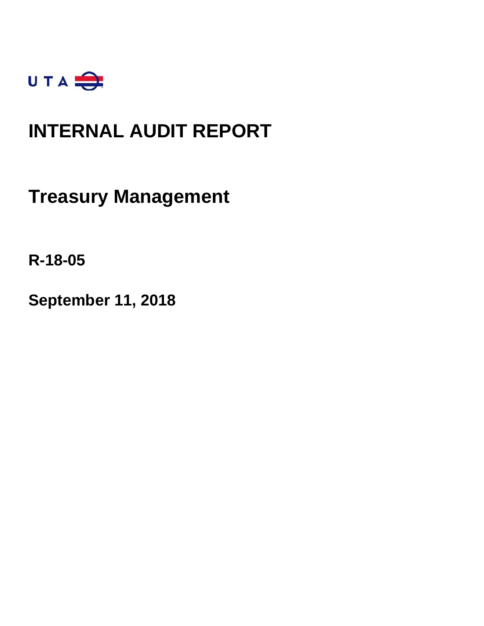

### **INTERNAL AUDIT REPORT**

**Treasury Management**

**R-18-05**

**September 11, 2018**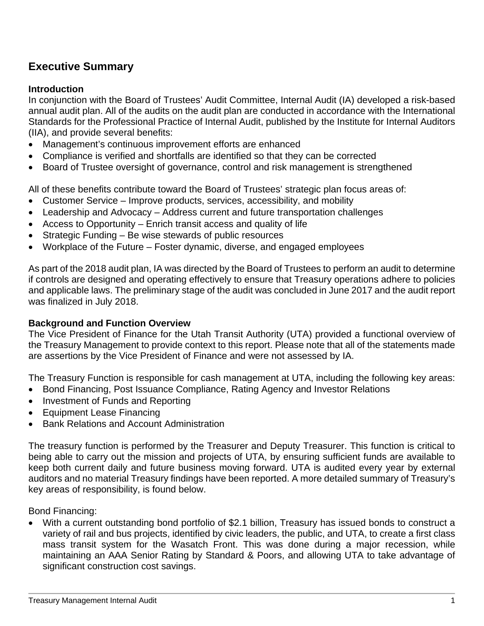### **Executive Summary**

### **Introduction**

In conjunction with the Board of Trustees' Audit Committee, Internal Audit (IA) developed a risk-based annual audit plan. All of the audits on the audit plan are conducted in accordance with the International Standards for the Professional Practice of Internal Audit, published by the Institute for Internal Auditors (IIA), and provide several benefits:

- Management's continuous improvement efforts are enhanced
- Compliance is verified and shortfalls are identified so that they can be corrected
- Board of Trustee oversight of governance, control and risk management is strengthened

All of these benefits contribute toward the Board of Trustees' strategic plan focus areas of:

- Customer Service Improve products, services, accessibility, and mobility
- Leadership and Advocacy Address current and future transportation challenges
- Access to Opportunity Enrich transit access and quality of life
- Strategic Funding Be wise stewards of public resources
- Workplace of the Future Foster dynamic, diverse, and engaged employees

As part of the 2018 audit plan, IA was directed by the Board of Trustees to perform an audit to determine if controls are designed and operating effectively to ensure that Treasury operations adhere to policies and applicable laws. The preliminary stage of the audit was concluded in June 2017 and the audit report was finalized in July 2018.

### **Background and Function Overview**

The Vice President of Finance for the Utah Transit Authority (UTA) provided a functional overview of the Treasury Management to provide context to this report. Please note that all of the statements made are assertions by the Vice President of Finance and were not assessed by IA.

The Treasury Function is responsible for cash management at UTA, including the following key areas:

- Bond Financing, Post Issuance Compliance, Rating Agency and Investor Relations
- Investment of Funds and Reporting
- Equipment Lease Financing
- Bank Relations and Account Administration

The treasury function is performed by the Treasurer and Deputy Treasurer. This function is critical to being able to carry out the mission and projects of UTA, by ensuring sufficient funds are available to keep both current daily and future business moving forward. UTA is audited every year by external auditors and no material Treasury findings have been reported. A more detailed summary of Treasury's key areas of responsibility, is found below.

Bond Financing:

• With a current outstanding bond portfolio of \$2.1 billion, Treasury has issued bonds to construct a variety of rail and bus projects, identified by civic leaders, the public, and UTA, to create a first class mass transit system for the Wasatch Front. This was done during a major recession, while maintaining an AAA Senior Rating by Standard & Poors, and allowing UTA to take advantage of significant construction cost savings.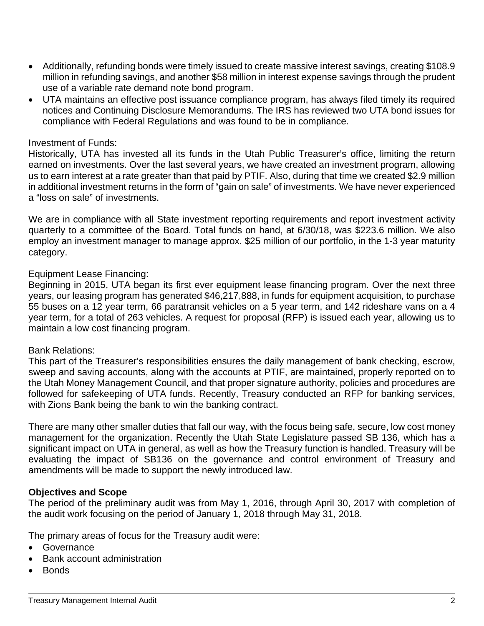- Additionally, refunding bonds were timely issued to create massive interest savings, creating \$108.9 million in refunding savings, and another \$58 million in interest expense savings through the prudent use of a variable rate demand note bond program.
- UTA maintains an effective post issuance compliance program, has always filed timely its required notices and Continuing Disclosure Memorandums. The IRS has reviewed two UTA bond issues for compliance with Federal Regulations and was found to be in compliance.

### Investment of Funds:

Historically, UTA has invested all its funds in the Utah Public Treasurer's office, limiting the return earned on investments. Over the last several years, we have created an investment program, allowing us to earn interest at a rate greater than that paid by PTIF. Also, during that time we created \$2.9 million in additional investment returns in the form of "gain on sale" of investments. We have never experienced a "loss on sale" of investments.

We are in compliance with all State investment reporting requirements and report investment activity quarterly to a committee of the Board. Total funds on hand, at 6/30/18, was \$223.6 million. We also employ an investment manager to manage approx. \$25 million of our portfolio, in the 1-3 year maturity category.

### Equipment Lease Financing:

Beginning in 2015, UTA began its first ever equipment lease financing program. Over the next three years, our leasing program has generated \$46,217,888, in funds for equipment acquisition, to purchase 55 buses on a 12 year term, 66 paratransit vehicles on a 5 year term, and 142 rideshare vans on a 4 year term, for a total of 263 vehicles. A request for proposal (RFP) is issued each year, allowing us to maintain a low cost financing program.

### Bank Relations:

This part of the Treasurer's responsibilities ensures the daily management of bank checking, escrow, sweep and saving accounts, along with the accounts at PTIF, are maintained, properly reported on to the Utah Money Management Council, and that proper signature authority, policies and procedures are followed for safekeeping of UTA funds. Recently, Treasury conducted an RFP for banking services, with Zions Bank being the bank to win the banking contract.

There are many other smaller duties that fall our way, with the focus being safe, secure, low cost money management for the organization. Recently the Utah State Legislature passed SB 136, which has a significant impact on UTA in general, as well as how the Treasury function is handled. Treasury will be evaluating the impact of SB136 on the governance and control environment of Treasury and amendments will be made to support the newly introduced law.

### **Objectives and Scope**

The period of the preliminary audit was from May 1, 2016, through April 30, 2017 with completion of the audit work focusing on the period of January 1, 2018 through May 31, 2018.

The primary areas of focus for the Treasury audit were:

- Governance
- Bank account administration
- Bonds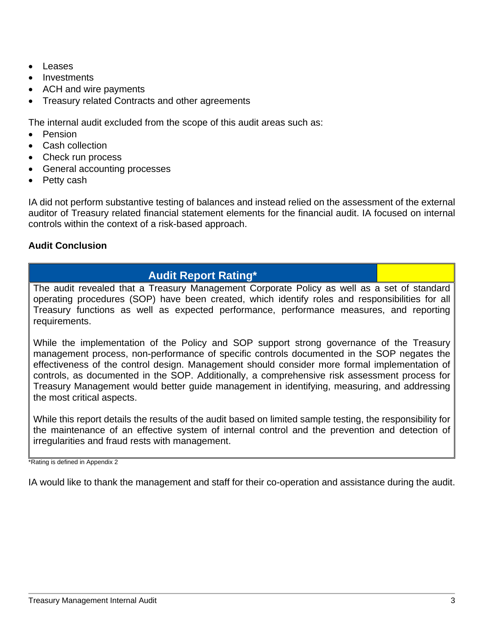- **Leases**
- Investments
- ACH and wire payments
- Treasury related Contracts and other agreements

The internal audit excluded from the scope of this audit areas such as:

- Pension
- Cash collection
- Check run process
- General accounting processes
- Petty cash

IA did not perform substantive testing of balances and instead relied on the assessment of the external auditor of Treasury related financial statement elements for the financial audit. IA focused on internal controls within the context of a risk-based approach.

### **Audit Conclusion**

### **Audit Report Rating\***

The audit revealed that a Treasury Management Corporate Policy as well as a set of standard operating procedures (SOP) have been created, which identify roles and responsibilities for all Treasury functions as well as expected performance, performance measures, and reporting requirements.

While the implementation of the Policy and SOP support strong governance of the Treasury management process, non-performance of specific controls documented in the SOP negates the effectiveness of the control design. Management should consider more formal implementation of controls, as documented in the SOP. Additionally, a comprehensive risk assessment process for Treasury Management would better guide management in identifying, measuring, and addressing the most critical aspects.

While this report details the results of the audit based on limited sample testing, the responsibility for the maintenance of an effective system of internal control and the prevention and detection of irregularities and fraud rests with management.

\*Rating is defined in Appendix 2

IA would like to thank the management and staff for their co-operation and assistance during the audit.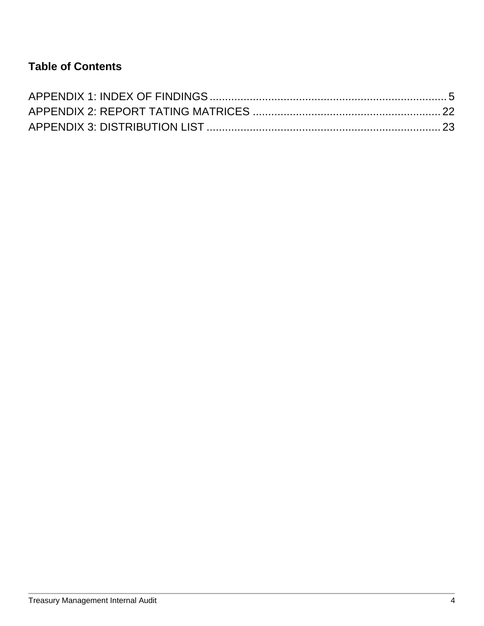### **Table of Contents**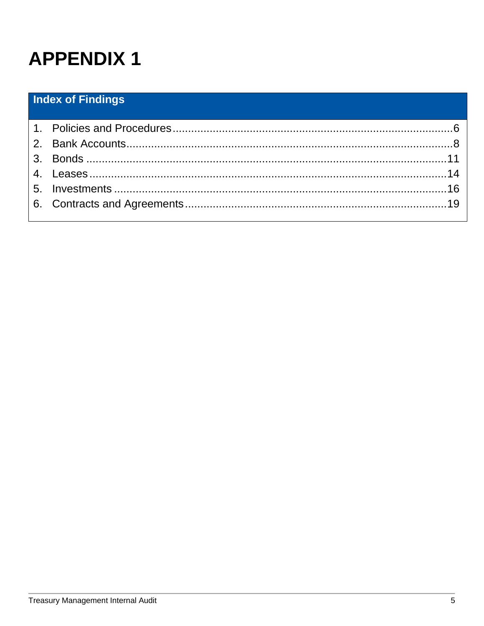### <span id="page-5-0"></span>**Index of Findings**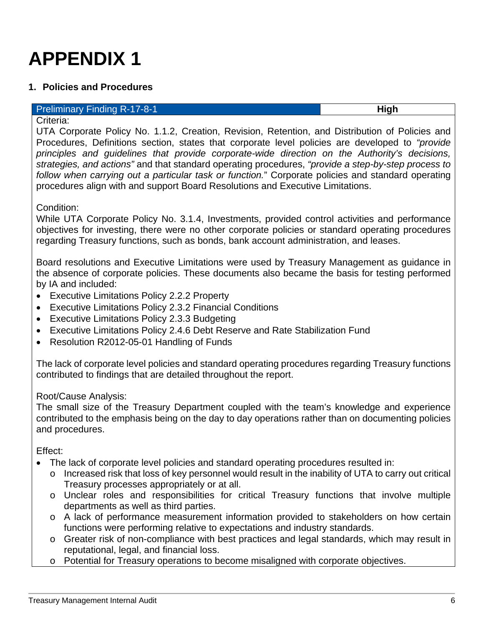### <span id="page-6-0"></span>**1. Policies and Procedures**

#### **Preliminary Finding R-17-8-1 High High**

Criteria:

UTA Corporate Policy No. 1.1.2, Creation, Revision, Retention, and Distribution of Policies and Procedures, Definitions section, states that corporate level policies are developed to *"provide principles and guidelines that provide corporate-wide direction on the Authority's decisions, strategies, and actions"* and that standard operating procedures, *"provide a step-by-step process to follow when carrying out a particular task or function.*" Corporate policies and standard operating procedures align with and support Board Resolutions and Executive Limitations.

Condition:

While UTA Corporate Policy No. 3.1.4, Investments, provided control activities and performance objectives for investing, there were no other corporate policies or standard operating procedures regarding Treasury functions, such as bonds, bank account administration, and leases.

Board resolutions and Executive Limitations were used by Treasury Management as guidance in the absence of corporate policies. These documents also became the basis for testing performed by IA and included:

- Executive Limitations Policy 2.2.2 Property
- Executive Limitations Policy 2.3.2 Financial Conditions
- Executive Limitations Policy 2.3.3 Budgeting
- Executive Limitations Policy 2.4.6 Debt Reserve and Rate Stabilization Fund
- Resolution R2012-05-01 Handling of Funds

The lack of corporate level policies and standard operating procedures regarding Treasury functions contributed to findings that are detailed throughout the report.

Root/Cause Analysis:

The small size of the Treasury Department coupled with the team's knowledge and experience contributed to the emphasis being on the day to day operations rather than on documenting policies and procedures.

Effect:

- The lack of corporate level policies and standard operating procedures resulted in:
	- o Increased risk that loss of key personnel would result in the inability of UTA to carry out critical Treasury processes appropriately or at all.
	- o Unclear roles and responsibilities for critical Treasury functions that involve multiple departments as well as third parties.
	- o A lack of performance measurement information provided to stakeholders on how certain functions were performing relative to expectations and industry standards.
	- o Greater risk of non-compliance with best practices and legal standards, which may result in reputational, legal, and financial loss.
	- o Potential for Treasury operations to become misaligned with corporate objectives.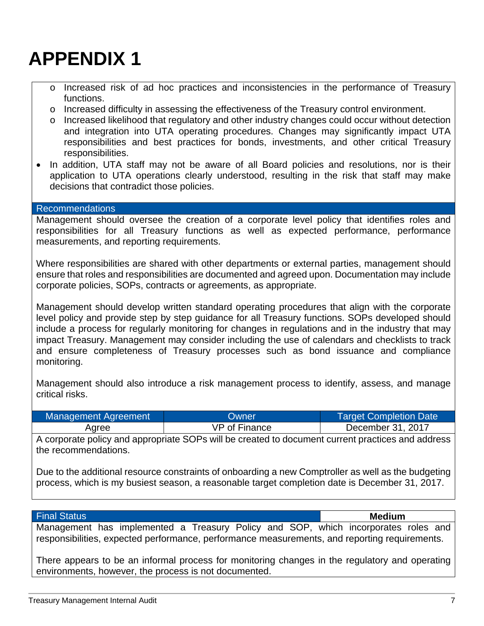- o Increased risk of ad hoc practices and inconsistencies in the performance of Treasury functions.
- o Increased difficulty in assessing the effectiveness of the Treasury control environment.
- $\circ$  Increased likelihood that regulatory and other industry changes could occur without detection and integration into UTA operating procedures. Changes may significantly impact UTA responsibilities and best practices for bonds, investments, and other critical Treasury responsibilities.
- In addition, UTA staff may not be aware of all Board policies and resolutions, nor is their application to UTA operations clearly understood, resulting in the risk that staff may make decisions that contradict those policies.

#### Recommendations

Management should oversee the creation of a corporate level policy that identifies roles and responsibilities for all Treasury functions as well as expected performance, performance measurements, and reporting requirements.

Where responsibilities are shared with other departments or external parties, management should ensure that roles and responsibilities are documented and agreed upon. Documentation may include corporate policies, SOPs, contracts or agreements, as appropriate.

Management should develop written standard operating procedures that align with the corporate level policy and provide step by step guidance for all Treasury functions. SOPs developed should include a process for regularly monitoring for changes in regulations and in the industry that may impact Treasury. Management may consider including the use of calendars and checklists to track and ensure completeness of Treasury processes such as bond issuance and compliance monitoring.

Management should also introduce a risk management process to identify, assess, and manage critical risks.

| Management Agreement | Owner         | <b>Target Completion Date</b> |
|----------------------|---------------|-------------------------------|
| Agree                | VP of Finance | December 31, 2017             |

A corporate policy and appropriate SOPs will be created to document current practices and address the recommendations.

Due to the additional resource constraints of onboarding a new Comptroller as well as the budgeting process, which is my busiest season, a reasonable target completion date is December 31, 2017.

#### Final Status **Medium**

Management has implemented a Treasury Policy and SOP, which incorporates roles and responsibilities, expected performance, performance measurements, and reporting requirements.

There appears to be an informal process for monitoring changes in the regulatory and operating environments, however, the process is not documented.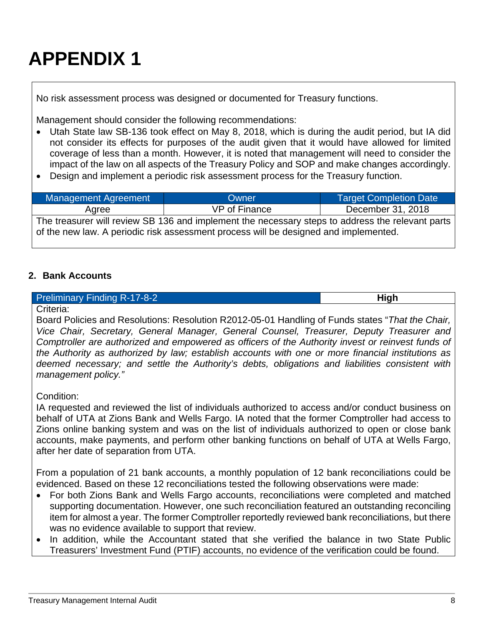No risk assessment process was designed or documented for Treasury functions.

Management should consider the following recommendations:

- Utah State law SB-136 took effect on May 8, 2018, which is during the audit period, but IA did not consider its effects for purposes of the audit given that it would have allowed for limited coverage of less than a month. However, it is noted that management will need to consider the impact of the law on all aspects of the Treasury Policy and SOP and make changes accordingly.
- Design and implement a periodic risk assessment process for the Treasury function.

| Management Agreement                                                                                                                                                                     | Owner         | <b>Target Completion Date</b> |
|------------------------------------------------------------------------------------------------------------------------------------------------------------------------------------------|---------------|-------------------------------|
| Aaree                                                                                                                                                                                    | VP of Finance | December 31, 2018             |
| The treasurer will review SB 136 and implement the necessary steps to address the relevant parts<br>of the new law. A periodic risk assessment process will be designed and implemented. |               |                               |

### <span id="page-8-0"></span>**2. Bank Accounts**

### **Preliminary Finding R-17-8-2 High High High**

Criteria:

Board Policies and Resolutions: Resolution R2012-05-01 Handling of Funds states "*That the Chair, Vice Chair, Secretary, General Manager, General Counsel, Treasurer, Deputy Treasurer and Comptroller are authorized and empowered as officers of the Authority invest or reinvest funds of the Authority as authorized by law; establish accounts with one or more financial institutions as deemed necessary; and settle the Authority's debts, obligations and liabilities consistent with management policy."*

Condition:

IA requested and reviewed the list of individuals authorized to access and/or conduct business on behalf of UTA at Zions Bank and Wells Fargo. IA noted that the former Comptroller had access to Zions online banking system and was on the list of individuals authorized to open or close bank accounts, make payments, and perform other banking functions on behalf of UTA at Wells Fargo, after her date of separation from UTA.

From a population of 21 bank accounts, a monthly population of 12 bank reconciliations could be evidenced. Based on these 12 reconciliations tested the following observations were made:

- For both Zions Bank and Wells Fargo accounts, reconciliations were completed and matched supporting documentation. However, one such reconciliation featured an outstanding reconciling item for almost a year. The former Comptroller reportedly reviewed bank reconciliations, but there was no evidence available to support that review.
- In addition, while the Accountant stated that she verified the balance in two State Public Treasurers' Investment Fund (PTIF) accounts, no evidence of the verification could be found.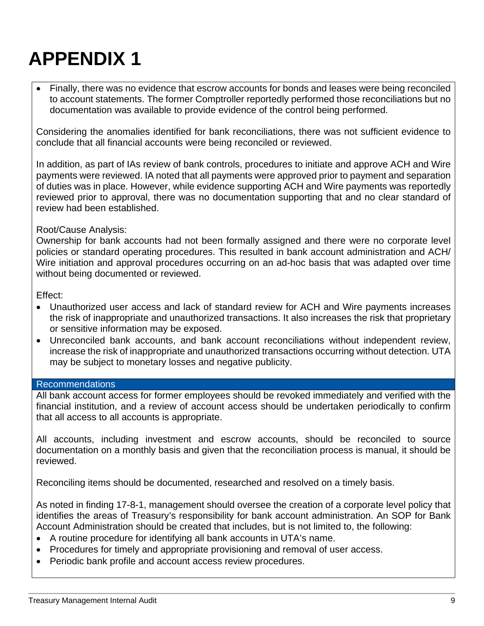• Finally, there was no evidence that escrow accounts for bonds and leases were being reconciled to account statements. The former Comptroller reportedly performed those reconciliations but no documentation was available to provide evidence of the control being performed.

Considering the anomalies identified for bank reconciliations, there was not sufficient evidence to conclude that all financial accounts were being reconciled or reviewed.

In addition, as part of IAs review of bank controls, procedures to initiate and approve ACH and Wire payments were reviewed. IA noted that all payments were approved prior to payment and separation of duties was in place. However, while evidence supporting ACH and Wire payments was reportedly reviewed prior to approval, there was no documentation supporting that and no clear standard of review had been established.

### Root/Cause Analysis:

Ownership for bank accounts had not been formally assigned and there were no corporate level policies or standard operating procedures. This resulted in bank account administration and ACH/ Wire initiation and approval procedures occurring on an ad-hoc basis that was adapted over time without being documented or reviewed.

Effect:

- Unauthorized user access and lack of standard review for ACH and Wire payments increases the risk of inappropriate and unauthorized transactions. It also increases the risk that proprietary or sensitive information may be exposed.
- Unreconciled bank accounts, and bank account reconciliations without independent review, increase the risk of inappropriate and unauthorized transactions occurring without detection. UTA may be subject to monetary losses and negative publicity.

### Recommendations

All bank account access for former employees should be revoked immediately and verified with the financial institution, and a review of account access should be undertaken periodically to confirm that all access to all accounts is appropriate.

All accounts, including investment and escrow accounts, should be reconciled to source documentation on a monthly basis and given that the reconciliation process is manual, it should be reviewed.

Reconciling items should be documented, researched and resolved on a timely basis.

As noted in finding 17-8-1, management should oversee the creation of a corporate level policy that identifies the areas of Treasury's responsibility for bank account administration. An SOP for Bank Account Administration should be created that includes, but is not limited to, the following:

- A routine procedure for identifying all bank accounts in UTA's name.
- Procedures for timely and appropriate provisioning and removal of user access.
- Periodic bank profile and account access review procedures.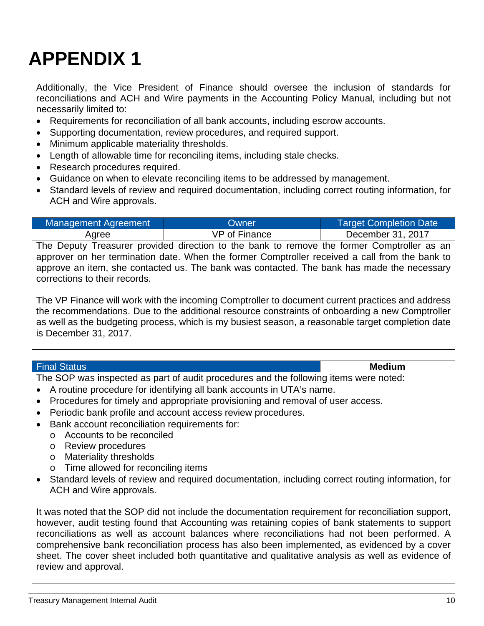Additionally, the Vice President of Finance should oversee the inclusion of standards for reconciliations and ACH and Wire payments in the Accounting Policy Manual, including but not necessarily limited to:

- Requirements for reconciliation of all bank accounts, including escrow accounts.
- Supporting documentation, review procedures, and required support.
- Minimum applicable materiality thresholds.
- Length of allowable time for reconciling items, including stale checks.
- Research procedures required.
- Guidance on when to elevate reconciling items to be addressed by management.
- Standard levels of review and required documentation, including correct routing information, for ACH and Wire approvals.

| Management Agreement | <b>Owner</b>                                                                                                 | <b>Target Completion Date</b> |
|----------------------|--------------------------------------------------------------------------------------------------------------|-------------------------------|
| Aaree                | VP of Finance                                                                                                | December 31, 2017             |
|                      | $\Gamma_{\text{ba}}$ Deputy Treesurer provided direction to the book to remove the former Comptreller on our |                               |

The Deputy Treasurer provided direction to the bank to remove the former Comptroller as an approver on her termination date. When the former Comptroller received a call from the bank to approve an item, she contacted us. The bank was contacted. The bank has made the necessary corrections to their records.

The VP Finance will work with the incoming Comptroller to document current practices and address the recommendations. Due to the additional resource constraints of onboarding a new Comptroller as well as the budgeting process, which is my busiest season, a reasonable target completion date is December 31, 2017.

#### Final Status **Medium**

The SOP was inspected as part of audit procedures and the following items were noted:

- A routine procedure for identifying all bank accounts in UTA's name.
- Procedures for timely and appropriate provisioning and removal of user access.
- Periodic bank profile and account access review procedures.
- Bank account reconciliation requirements for:
	- o Accounts to be reconciled
	- o Review procedures
	- o Materiality thresholds
	- o Time allowed for reconciling items
- Standard levels of review and required documentation, including correct routing information, for ACH and Wire approvals.

It was noted that the SOP did not include the documentation requirement for reconciliation support, however, audit testing found that Accounting was retaining copies of bank statements to support reconciliations as well as account balances where reconciliations had not been performed. A comprehensive bank reconciliation process has also been implemented, as evidenced by a cover sheet. The cover sheet included both quantitative and qualitative analysis as well as evidence of review and approval.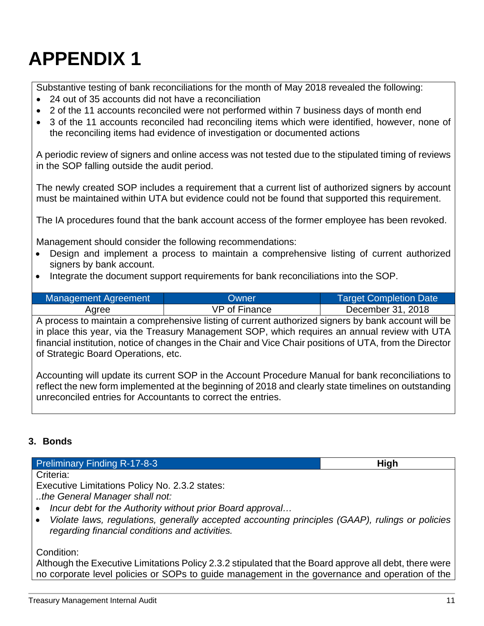Substantive testing of bank reconciliations for the month of May 2018 revealed the following:

- 24 out of 35 accounts did not have a reconciliation
- 2 of the 11 accounts reconciled were not performed within 7 business days of month end
- 3 of the 11 accounts reconciled had reconciling items which were identified, however, none of the reconciling items had evidence of investigation or documented actions

A periodic review of signers and online access was not tested due to the stipulated timing of reviews in the SOP falling outside the audit period.

The newly created SOP includes a requirement that a current list of authorized signers by account must be maintained within UTA but evidence could not be found that supported this requirement.

The IA procedures found that the bank account access of the former employee has been revoked.

Management should consider the following recommendations:

- Design and implement a process to maintain a comprehensive listing of current authorized signers by bank account.
- Integrate the document support requirements for bank reconciliations into the SOP.

| Management Agreement | <b>Owner</b>  | <b>Target Completion Date</b> |
|----------------------|---------------|-------------------------------|
| Agree                | VP of Finance | December 31, 2018             |

A process to maintain a comprehensive listing of current authorized signers by bank account will be in place this year, via the Treasury Management SOP, which requires an annual review with UTA financial institution, notice of changes in the Chair and Vice Chair positions of UTA, from the Director of Strategic Board Operations, etc.

Accounting will update its current SOP in the Account Procedure Manual for bank reconciliations to reflect the new form implemented at the beginning of 2018 and clearly state timelines on outstanding unreconciled entries for Accountants to correct the entries.

### <span id="page-11-0"></span>**3. Bonds**

**Preliminary Finding R-17-8-3 High High High** Criteria: Executive Limitations Policy No. 2.3.2 states: *..the General Manager shall not:*  • *Incur debt for the Authority without prior Board approval…*

• *Violate laws, regulations, generally accepted accounting principles (GAAP), rulings or policies regarding financial conditions and activities.*

Condition:

Although the Executive Limitations Policy 2.3.2 stipulated that the Board approve all debt, there were no corporate level policies or SOPs to guide management in the governance and operation of the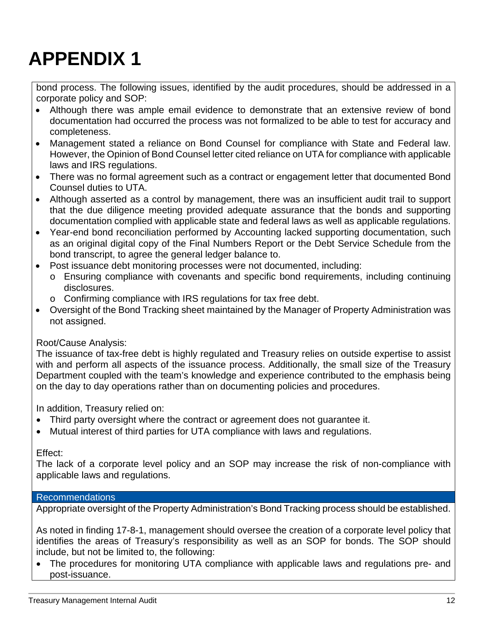bond process. The following issues, identified by the audit procedures, should be addressed in a corporate policy and SOP:

- Although there was ample email evidence to demonstrate that an extensive review of bond documentation had occurred the process was not formalized to be able to test for accuracy and completeness.
- Management stated a reliance on Bond Counsel for compliance with State and Federal law. However, the Opinion of Bond Counsel letter cited reliance on UTA for compliance with applicable laws and IRS regulations.
- There was no formal agreement such as a contract or engagement letter that documented Bond Counsel duties to UTA.
- Although asserted as a control by management, there was an insufficient audit trail to support that the due diligence meeting provided adequate assurance that the bonds and supporting documentation complied with applicable state and federal laws as well as applicable regulations.
- Year-end bond reconciliation performed by Accounting lacked supporting documentation, such as an original digital copy of the Final Numbers Report or the Debt Service Schedule from the bond transcript, to agree the general ledger balance to.
- Post issuance debt monitoring processes were not documented, including:
	- o Ensuring compliance with covenants and specific bond requirements, including continuing disclosures.
	- o Confirming compliance with IRS regulations for tax free debt.
- Oversight of the Bond Tracking sheet maintained by the Manager of Property Administration was not assigned.

### Root/Cause Analysis:

The issuance of tax-free debt is highly regulated and Treasury relies on outside expertise to assist with and perform all aspects of the issuance process. Additionally, the small size of the Treasury Department coupled with the team's knowledge and experience contributed to the emphasis being on the day to day operations rather than on documenting policies and procedures.

In addition, Treasury relied on:

- Third party oversight where the contract or agreement does not guarantee it.
- Mutual interest of third parties for UTA compliance with laws and regulations.

### Effect:

The lack of a corporate level policy and an SOP may increase the risk of non-compliance with applicable laws and regulations.

### Recommendations

Appropriate oversight of the Property Administration's Bond Tracking process should be established.

As noted in finding 17-8-1, management should oversee the creation of a corporate level policy that identifies the areas of Treasury's responsibility as well as an SOP for bonds. The SOP should include, but not be limited to, the following:

• The procedures for monitoring UTA compliance with applicable laws and regulations pre- and post-issuance.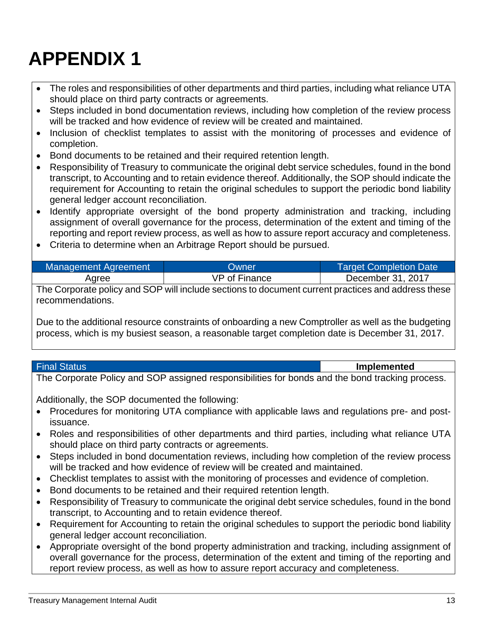- The roles and responsibilities of other departments and third parties, including what reliance UTA should place on third party contracts or agreements.
- Steps included in bond documentation reviews, including how completion of the review process will be tracked and how evidence of review will be created and maintained.
- Inclusion of checklist templates to assist with the monitoring of processes and evidence of completion.
- Bond documents to be retained and their required retention length.
- Responsibility of Treasury to communicate the original debt service schedules, found in the bond transcript, to Accounting and to retain evidence thereof. Additionally, the SOP should indicate the requirement for Accounting to retain the original schedules to support the periodic bond liability general ledger account reconciliation.
- Identify appropriate oversight of the bond property administration and tracking, including assignment of overall governance for the process, determination of the extent and timing of the reporting and report review process, as well as how to assure report accuracy and completeness.
- Criteria to determine when an Arbitrage Report should be pursued.

| Management Agreement | Owner         | <b>Target Completion Date</b> |
|----------------------|---------------|-------------------------------|
| Aaree                | VP of Finance | December 31, 2017             |

The Corporate policy and SOP will include sections to document current practices and address these recommendations.

Due to the additional resource constraints of onboarding a new Comptroller as well as the budgeting process, which is my busiest season, a reasonable target completion date is December 31, 2017.

### Final Status **Implemented**

The Corporate Policy and SOP assigned responsibilities for bonds and the bond tracking process.

Additionally, the SOP documented the following:

- Procedures for monitoring UTA compliance with applicable laws and regulations pre- and postissuance.
- Roles and responsibilities of other departments and third parties, including what reliance UTA should place on third party contracts or agreements.
- Steps included in bond documentation reviews, including how completion of the review process will be tracked and how evidence of review will be created and maintained.
- Checklist templates to assist with the monitoring of processes and evidence of completion.
- Bond documents to be retained and their required retention length.
- Responsibility of Treasury to communicate the original debt service schedules, found in the bond transcript, to Accounting and to retain evidence thereof.
- Requirement for Accounting to retain the original schedules to support the periodic bond liability general ledger account reconciliation.
- Appropriate oversight of the bond property administration and tracking, including assignment of overall governance for the process, determination of the extent and timing of the reporting and report review process, as well as how to assure report accuracy and completeness.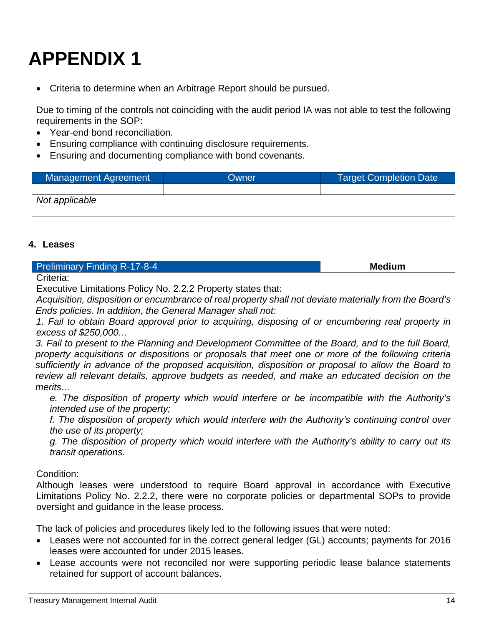### • Criteria to determine when an Arbitrage Report should be pursued.

Due to timing of the controls not coinciding with the audit period IA was not able to test the following requirements in the SOP:

- Year-end bond reconciliation.
- Ensuring compliance with continuing disclosure requirements.
- Ensuring and documenting compliance with bond covenants.

| Management Agreement | Owner | Target Completion Date |
|----------------------|-------|------------------------|
|                      |       |                        |
| Not applicable       |       |                        |

### <span id="page-14-0"></span>**4. Leases**

| <b>Preliminary Finding R-17-8-4</b>                                                                                           | <b>Medium</b> |
|-------------------------------------------------------------------------------------------------------------------------------|---------------|
| Criteria:                                                                                                                     |               |
| I. For a set of the first second control of $\mathbf{A}$ . All and $\mathbf{A}$ . All and $\mathbf{A}$ . All and $\mathbf{A}$ |               |

Executive Limitations Policy No. 2.2.2 Property states that:

*Acquisition, disposition or encumbrance of real property shall not deviate materially from the Board's Ends policies. In addition, the General Manager shall not:*

*1. Fail to obtain Board approval prior to acquiring, disposing of or encumbering real property in excess of \$250,000…*

*3. Fail to present to the Planning and Development Committee of the Board, and to the full Board, property acquisitions or dispositions or proposals that meet one or more of the following criteria sufficiently in advance of the proposed acquisition, disposition or proposal to allow the Board to review all relevant details, approve budgets as needed, and make an educated decision on the merits…*

*e. The disposition of property which would interfere or be incompatible with the Authority's intended use of the property;*

*f. The disposition of property which would interfere with the Authority's continuing control over the use of its property;*

*g. The disposition of property which would interfere with the Authority's ability to carry out its transit operations.*

Condition:

Although leases were understood to require Board approval in accordance with Executive Limitations Policy No. 2.2.2, there were no corporate policies or departmental SOPs to provide oversight and guidance in the lease process.

The lack of policies and procedures likely led to the following issues that were noted:

- Leases were not accounted for in the correct general ledger (GL) accounts; payments for 2016 leases were accounted for under 2015 leases.
- Lease accounts were not reconciled nor were supporting periodic lease balance statements retained for support of account balances.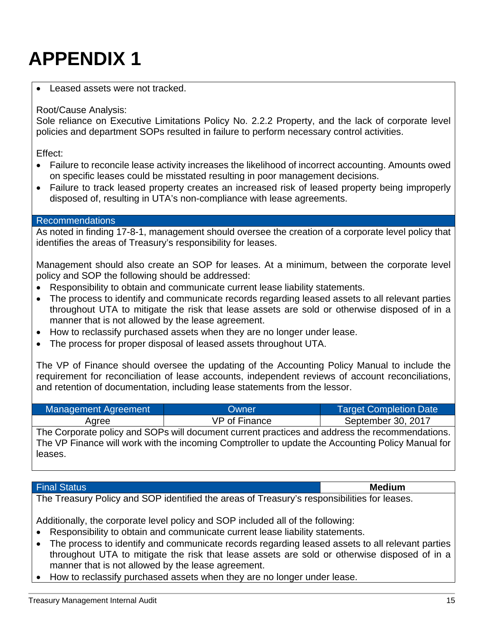#### Leased assets were not tracked.

#### Root/Cause Analysis:

Sole reliance on Executive Limitations Policy No. 2.2.2 Property, and the lack of corporate level policies and department SOPs resulted in failure to perform necessary control activities.

Effect:

- Failure to reconcile lease activity increases the likelihood of incorrect accounting. Amounts owed on specific leases could be misstated resulting in poor management decisions.
- Failure to track leased property creates an increased risk of leased property being improperly disposed of, resulting in UTA's non-compliance with lease agreements.

#### Recommendations

As noted in finding 17-8-1, management should oversee the creation of a corporate level policy that identifies the areas of Treasury's responsibility for leases.

Management should also create an SOP for leases. At a minimum, between the corporate level policy and SOP the following should be addressed:

- Responsibility to obtain and communicate current lease liability statements.
- The process to identify and communicate records regarding leased assets to all relevant parties throughout UTA to mitigate the risk that lease assets are sold or otherwise disposed of in a manner that is not allowed by the lease agreement.
- How to reclassify purchased assets when they are no longer under lease.
- The process for proper disposal of leased assets throughout UTA.

The VP of Finance should oversee the updating of the Accounting Policy Manual to include the requirement for reconciliation of lease accounts, independent reviews of account reconciliations, and retention of documentation, including lease statements from the lessor.

| <b>Management Agreement</b> | Owner                                                                                             | <b>Target Completion Date</b> |
|-----------------------------|---------------------------------------------------------------------------------------------------|-------------------------------|
| Agree                       | VP of Finance                                                                                     | September 30, 2017            |
|                             | The Corporate policy and SOPs will document current practices and address the recommendations.    |                               |
|                             | The VP Finance will work with the incoming Comptroller to update the Accounting Policy Manual for |                               |
| leases.                     |                                                                                                   |                               |

#### Final Status **Medium**

The Treasury Policy and SOP identified the areas of Treasury's responsibilities for leases.

Additionally, the corporate level policy and SOP included all of the following:

- Responsibility to obtain and communicate current lease liability statements.
- The process to identify and communicate records regarding leased assets to all relevant parties throughout UTA to mitigate the risk that lease assets are sold or otherwise disposed of in a manner that is not allowed by the lease agreement.
- How to reclassify purchased assets when they are no longer under lease.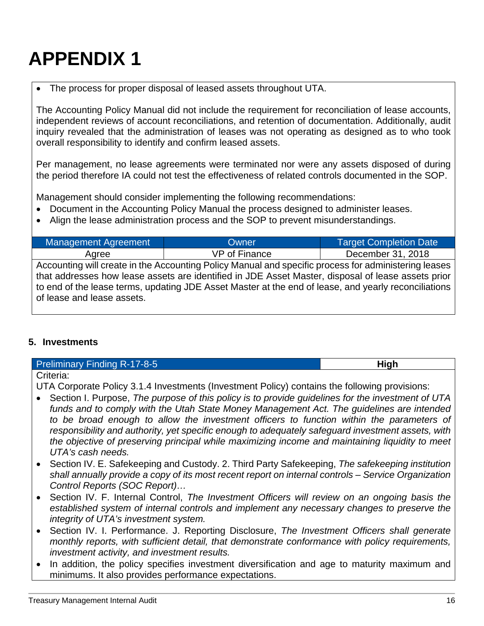### The process for proper disposal of leased assets throughout UTA.

The Accounting Policy Manual did not include the requirement for reconciliation of lease accounts, independent reviews of account reconciliations, and retention of documentation. Additionally, audit inquiry revealed that the administration of leases was not operating as designed as to who took overall responsibility to identify and confirm leased assets.

Per management, no lease agreements were terminated nor were any assets disposed of during the period therefore IA could not test the effectiveness of related controls documented in the SOP.

Management should consider implementing the following recommendations:

- Document in the Accounting Policy Manual the process designed to administer leases.
- Align the lease administration process and the SOP to prevent misunderstandings.

| Management Agreement                                                                                 | Owner                                                                                                | <b>Target Completion Date</b> |
|------------------------------------------------------------------------------------------------------|------------------------------------------------------------------------------------------------------|-------------------------------|
| Agree                                                                                                | VP of Finance                                                                                        | December 31, 2018             |
|                                                                                                      | Accounting will create in the Accounting Policy Manual and specific process for administering leases |                               |
| that addresses how lease assets are identified in JDE Asset Master, disposal of lease assets prior   |                                                                                                      |                               |
| to end of the lease terms, updating JDE Asset Master at the end of lease, and yearly reconciliations |                                                                                                      |                               |
| of lease and lease assets.                                                                           |                                                                                                      |                               |

### <span id="page-16-0"></span>**5. Investments**

| <b>Preliminary Finding R-17-8-5</b> | High |
|-------------------------------------|------|
| $\bigcap_{x=1}^{\infty}$            |      |

Criteria:

UTA Corporate Policy 3.1.4 Investments (Investment Policy) contains the following provisions:

- Section I. Purpose, *The purpose of this policy is to provide guidelines for the investment of UTA funds and to comply with the Utah State Money Management Act. The guidelines are intended to be broad enough to allow the investment officers to function within the parameters of responsibility and authority, yet specific enough to adequately safeguard investment assets, with the objective of preserving principal while maximizing income and maintaining liquidity to meet UTA's cash needs.*
- Section IV. E. Safekeeping and Custody. 2. Third Party Safekeeping, *The safekeeping institution shall annually provide a copy of its most recent report on internal controls – Service Organization Control Reports (SOC Report)…*
- Section IV. F. Internal Control, *The Investment Officers will review on an ongoing basis the established system of internal controls and implement any necessary changes to preserve the integrity of UTA's investment system.*
- Section IV. I. Performance. J. Reporting Disclosure, *The Investment Officers shall generate monthly reports, with sufficient detail, that demonstrate conformance with policy requirements, investment activity, and investment results.*
- In addition, the policy specifies investment diversification and age to maturity maximum and minimums. It also provides performance expectations.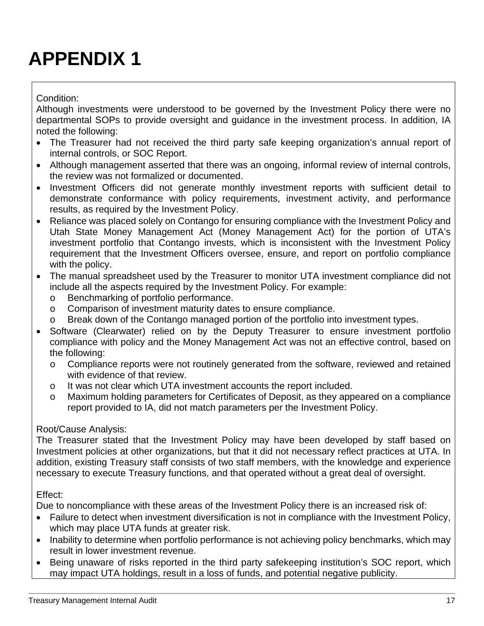### Condition:

Although investments were understood to be governed by the Investment Policy there were no departmental SOPs to provide oversight and guidance in the investment process. In addition, IA noted the following:

- The Treasurer had not received the third party safe keeping organization's annual report of internal controls, or SOC Report.
- Although management asserted that there was an ongoing, informal review of internal controls, the review was not formalized or documented.
- Investment Officers did not generate monthly investment reports with sufficient detail to demonstrate conformance with policy requirements, investment activity, and performance results, as required by the Investment Policy.
- Reliance was placed solely on Contango for ensuring compliance with the Investment Policy and Utah State Money Management Act (Money Management Act) for the portion of UTA's investment portfolio that Contango invests, which is inconsistent with the Investment Policy requirement that the Investment Officers oversee, ensure, and report on portfolio compliance with the policy.
- The manual spreadsheet used by the Treasurer to monitor UTA investment compliance did not include all the aspects required by the Investment Policy. For example:
	- o Benchmarking of portfolio performance.<br>
	o Comparison of investment maturity date
	- Comparison of investment maturity dates to ensure compliance.
	- o Break down of the Contango managed portion of the portfolio into investment types.
- Software (Clearwater) relied on by the Deputy Treasurer to ensure investment portfolio compliance with policy and the Money Management Act was not an effective control, based on the following:
	- o Compliance reports were not routinely generated from the software, reviewed and retained with evidence of that review.
	- o It was not clear which UTA investment accounts the report included.
	- o Maximum holding parameters for Certificates of Deposit, as they appeared on a compliance report provided to IA, did not match parameters per the Investment Policy.

### Root/Cause Analysis:

The Treasurer stated that the Investment Policy may have been developed by staff based on Investment policies at other organizations, but that it did not necessary reflect practices at UTA. In addition, existing Treasury staff consists of two staff members, with the knowledge and experience necessary to execute Treasury functions, and that operated without a great deal of oversight.

### Effect:

Due to noncompliance with these areas of the Investment Policy there is an increased risk of:

- Failure to detect when investment diversification is not in compliance with the Investment Policy, which may place UTA funds at greater risk.
- Inability to determine when portfolio performance is not achieving policy benchmarks, which may result in lower investment revenue.
- Being unaware of risks reported in the third party safekeeping institution's SOC report, which may impact UTA holdings, result in a loss of funds, and potential negative publicity.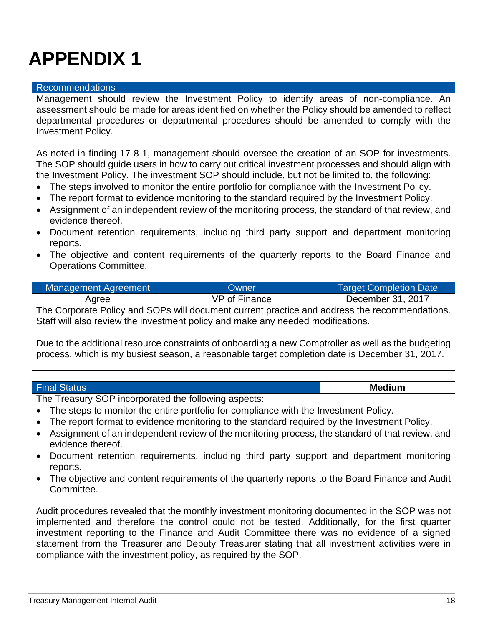#### Recommendations

Management should review the Investment Policy to identify areas of non-compliance. An assessment should be made for areas identified on whether the Policy should be amended to reflect departmental procedures or departmental procedures should be amended to comply with the Investment Policy.

As noted in finding 17-8-1, management should oversee the creation of an SOP for investments. The SOP should guide users in how to carry out critical investment processes and should align with the Investment Policy. The investment SOP should include, but not be limited to, the following:

- The steps involved to monitor the entire portfolio for compliance with the Investment Policy.
- The report format to evidence monitoring to the standard required by the Investment Policy.
- Assignment of an independent review of the monitoring process, the standard of that review, and evidence thereof.
- Document retention requirements, including third party support and department monitoring reports.
- The objective and content requirements of the quarterly reports to the Board Finance and Operations Committee.

| Management Agreement | Owner         | <b>Target Completion Date</b> |
|----------------------|---------------|-------------------------------|
| Agree                | VP of Finance | December 31, 2017             |

The Corporate Policy and SOPs will document current practice and address the recommendations. Staff will also review the investment policy and make any needed modifications.

Due to the additional resource constraints of onboarding a new Comptroller as well as the budgeting process, which is my busiest season, a reasonable target completion date is December 31, 2017.

| <b>Final Status</b>                                   | <b>Medium</b> |
|-------------------------------------------------------|---------------|
| The Treesury COD income such although the research of |               |

The Treasury SOP incorporated the following aspects:

- The steps to monitor the entire portfolio for compliance with the Investment Policy.
- The report format to evidence monitoring to the standard required by the Investment Policy.
- Assignment of an independent review of the monitoring process, the standard of that review, and evidence thereof.
- Document retention requirements, including third party support and department monitoring reports.
- The objective and content requirements of the quarterly reports to the Board Finance and Audit Committee.

Audit procedures revealed that the monthly investment monitoring documented in the SOP was not implemented and therefore the control could not be tested. Additionally, for the first quarter investment reporting to the Finance and Audit Committee there was no evidence of a signed statement from the Treasurer and Deputy Treasurer stating that all investment activities were in compliance with the investment policy, as required by the SOP.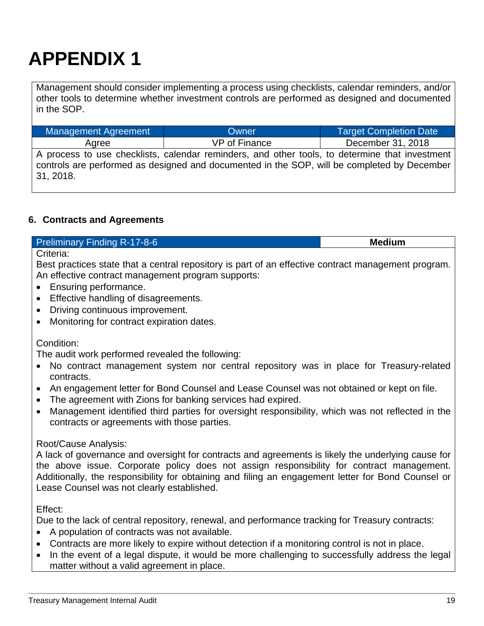Management should consider implementing a process using checklists, calendar reminders, and/or other tools to determine whether investment controls are performed as designed and documented in the SOP.

| <u>management</u> Agreement | $\mathsf{V}$                                                                                   | <b>Target Obtilpiction Date</b> |
|-----------------------------|------------------------------------------------------------------------------------------------|---------------------------------|
| Aaree                       | VP of Finance                                                                                  | December 31, 2018               |
|                             | A process to use checklists, calendar reminders, and other tools, to determine that investment |                                 |
|                             | controls are performed as designed and documented in the SOP, will be completed by December    |                                 |
| 31, 2018.                   |                                                                                                |                                 |

Management Agreement Owner Target Completion Date

### <span id="page-19-0"></span>**6. Contracts and Agreements**

### **Preliminary Finding R-17-8-6 Medium Medium**

Criteria:

Best practices state that a central repository is part of an effective contract management program. An effective contract management program supports:

- Ensuring performance.
- Effective handling of disagreements.
- Driving continuous improvement.
- Monitoring for contract expiration dates.

### Condition:

The audit work performed revealed the following:

- No contract management system nor central repository was in place for Treasury-related contracts.
- An engagement letter for Bond Counsel and Lease Counsel was not obtained or kept on file.
- The agreement with Zions for banking services had expired.
- Management identified third parties for oversight responsibility, which was not reflected in the contracts or agreements with those parties.

### Root/Cause Analysis:

A lack of governance and oversight for contracts and agreements is likely the underlying cause for the above issue. Corporate policy does not assign responsibility for contract management. Additionally, the responsibility for obtaining and filing an engagement letter for Bond Counsel or Lease Counsel was not clearly established.

Effect:

Due to the lack of central repository, renewal, and performance tracking for Treasury contracts:

- A population of contracts was not available.
- Contracts are more likely to expire without detection if a monitoring control is not in place.
- In the event of a legal dispute, it would be more challenging to successfully address the legal matter without a valid agreement in place.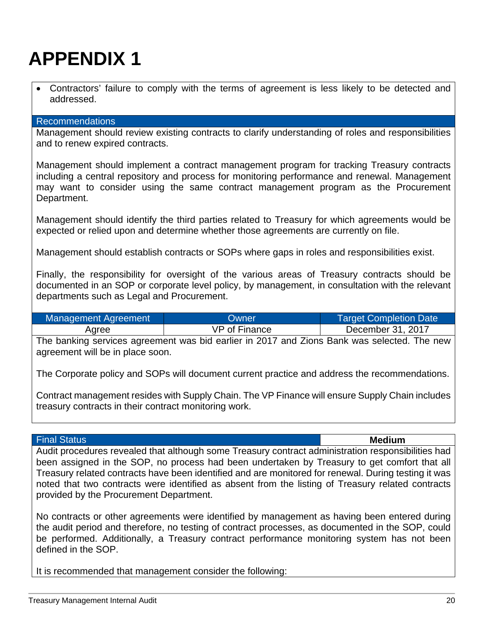| • Contractors' failure to comply with the terms of agreement is less likely to be detected and |  |  |  |  |  |  |  |
|------------------------------------------------------------------------------------------------|--|--|--|--|--|--|--|
| addressed.                                                                                     |  |  |  |  |  |  |  |

#### Recommendations

Management should review existing contracts to clarify understanding of roles and responsibilities and to renew expired contracts.

Management should implement a contract management program for tracking Treasury contracts including a central repository and process for monitoring performance and renewal. Management may want to consider using the same contract management program as the Procurement Department.

Management should identify the third parties related to Treasury for which agreements would be expected or relied upon and determine whether those agreements are currently on file.

Management should establish contracts or SOPs where gaps in roles and responsibilities exist.

Finally, the responsibility for oversight of the various areas of Treasury contracts should be documented in an SOP or corporate level policy, by management, in consultation with the relevant departments such as Legal and Procurement.

| Management Agreement | Owner         | <b>Target Completion Date</b> |
|----------------------|---------------|-------------------------------|
| Agree                | VP of Finance | December 31, 2017             |

The banking services agreement was bid earlier in 2017 and Zions Bank was selected. The new agreement will be in place soon.

The Corporate policy and SOPs will document current practice and address the recommendations.

Contract management resides with Supply Chain. The VP Finance will ensure Supply Chain includes treasury contracts in their contract monitoring work.

#### Final Status **Medium**

Audit procedures revealed that although some Treasury contract administration responsibilities had been assigned in the SOP, no process had been undertaken by Treasury to get comfort that all Treasury related contracts have been identified and are monitored for renewal. During testing it was noted that two contracts were identified as absent from the listing of Treasury related contracts provided by the Procurement Department.

No contracts or other agreements were identified by management as having been entered during the audit period and therefore, no testing of contract processes, as documented in the SOP, could be performed. Additionally, a Treasury contract performance monitoring system has not been defined in the SOP.

It is recommended that management consider the following: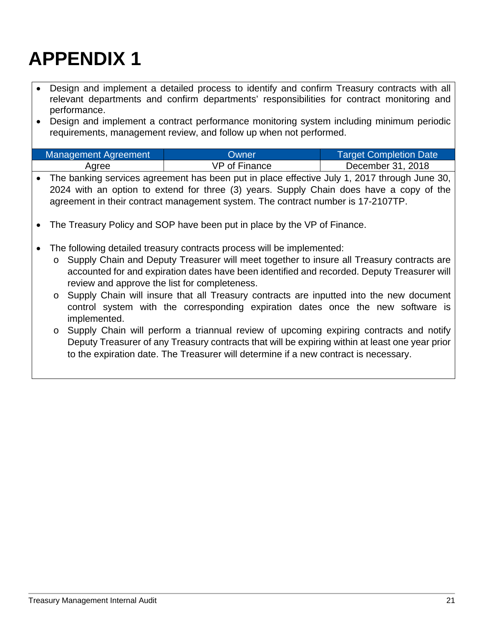- Design and implement a detailed process to identify and confirm Treasury contracts with all relevant departments and confirm departments' responsibilities for contract monitoring and performance.
- Design and implement a contract performance monitoring system including minimum periodic requirements, management review, and follow up when not performed.

| Management Agreement | Owner         | <b>Target Completion Date</b> |
|----------------------|---------------|-------------------------------|
| Agree                | VP of Finance | December 31, 2018             |

- The banking services agreement has been put in place effective July 1, 2017 through June 30, 2024 with an option to extend for three (3) years. Supply Chain does have a copy of the agreement in their contract management system. The contract number is 17-2107TP.
- The Treasury Policy and SOP have been put in place by the VP of Finance.
- The following detailed treasury contracts process will be implemented:
	- o Supply Chain and Deputy Treasurer will meet together to insure all Treasury contracts are accounted for and expiration dates have been identified and recorded. Deputy Treasurer will review and approve the list for completeness.
	- o Supply Chain will insure that all Treasury contracts are inputted into the new document control system with the corresponding expiration dates once the new software is implemented.
	- o Supply Chain will perform a triannual review of upcoming expiring contracts and notify Deputy Treasurer of any Treasury contracts that will be expiring within at least one year prior to the expiration date. The Treasurer will determine if a new contract is necessary.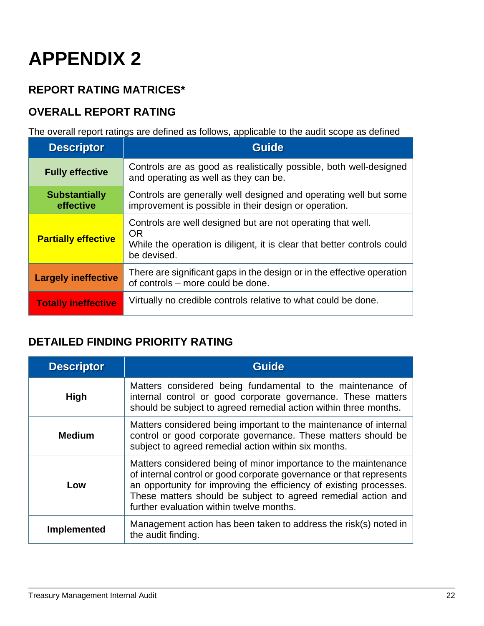### <span id="page-22-0"></span>**REPORT RATING MATRICES\***

### **OVERALL REPORT RATING**

The overall report ratings are defined as follows, applicable to the audit scope as defined

| <b>Descriptor</b>                 | <b>Guide</b>                                                                                                                                                       |
|-----------------------------------|--------------------------------------------------------------------------------------------------------------------------------------------------------------------|
| <b>Fully effective</b>            | Controls are as good as realistically possible, both well-designed<br>and operating as well as they can be.                                                        |
| <b>Substantially</b><br>effective | Controls are generally well designed and operating well but some<br>improvement is possible in their design or operation.                                          |
| <b>Partially effective</b>        | Controls are well designed but are not operating that well.<br><b>OR</b><br>While the operation is diligent, it is clear that better controls could<br>be devised. |
| <b>Largely ineffective</b>        | There are significant gaps in the design or in the effective operation<br>of controls – more could be done.                                                        |
| <b>Totally ineffective</b>        | Virtually no credible controls relative to what could be done.                                                                                                     |

### **DETAILED FINDING PRIORITY RATING**

| <b>Descriptor</b>  | <b>Guide</b>                                                                                                                                                                                                                                                                                                              |
|--------------------|---------------------------------------------------------------------------------------------------------------------------------------------------------------------------------------------------------------------------------------------------------------------------------------------------------------------------|
| <b>High</b>        | Matters considered being fundamental to the maintenance of<br>internal control or good corporate governance. These matters<br>should be subject to agreed remedial action within three months.                                                                                                                            |
| <b>Medium</b>      | Matters considered being important to the maintenance of internal<br>control or good corporate governance. These matters should be<br>subject to agreed remedial action within six months.                                                                                                                                |
| Low                | Matters considered being of minor importance to the maintenance<br>of internal control or good corporate governance or that represents<br>an opportunity for improving the efficiency of existing processes.<br>These matters should be subject to agreed remedial action and<br>further evaluation within twelve months. |
| <b>Implemented</b> | Management action has been taken to address the risk(s) noted in<br>the audit finding.                                                                                                                                                                                                                                    |